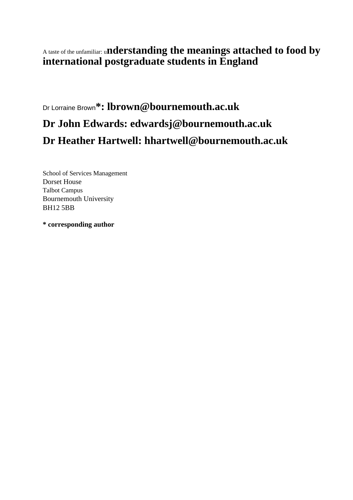# A taste of the unfamiliar: u**nderstanding the meanings attached to food by international postgraduate students in England**

Dr Lorraine Brown**\*: lbrown@bournemouth.ac.uk Dr John Edwards: edwardsj@bournemouth.ac.uk Dr Heather Hartwell: hhartwell@bournemouth.ac.uk**

School of Services Management Dorset House Talbot Campus Bournemouth University BH12 5BB

**\* corresponding author**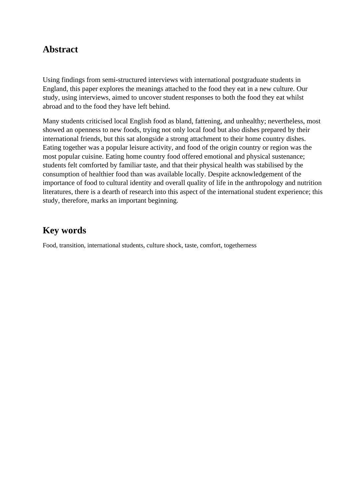## **Abstract**

Using findings from semi-structured interviews with international postgraduate students in England, this paper explores the meanings attached to the food they eat in a new culture. Our study, using interviews, aimed to uncover student responses to both the food they eat whilst abroad and to the food they have left behind.

Many students criticised local English food as bland, fattening, and unhealthy; nevertheless, most showed an openness to new foods, trying not only local food but also dishes prepared by their international friends, but this sat alongside a strong attachment to their home country dishes. Eating together was a popular leisure activity, and food of the origin country or region was the most popular cuisine. Eating home country food offered emotional and physical sustenance; students felt comforted by familiar taste, and that their physical health was stabilised by the consumption of healthier food than was available locally. Despite acknowledgement of the importance of food to cultural identity and overall quality of life in the anthropology and nutrition literatures, there is a dearth of research into this aspect of the international student experience; this study, therefore, marks an important beginning.

## **Key words**

Food, transition, international students, culture shock, taste, comfort, togetherness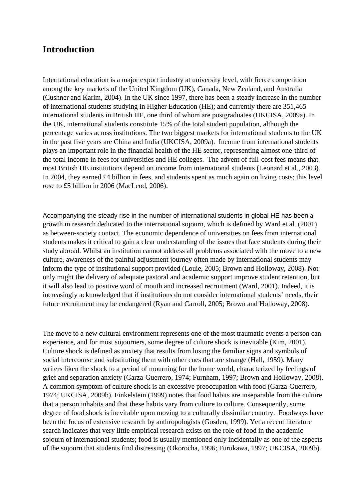### **Introduction**

International education is a major export industry at university level, with fierce competition among the key markets of the United Kingdom (UK), Canada, New Zealand, and Australia (Cushner and Karim, 2004). In the UK since 1997, there has been a steady increase in the number of international students studying in Higher Education (HE); and currently there are 351,465 international students in British HE, one third of whom are postgraduates (UKCISA, 2009a). In the UK, international students constitute 15% of the total student population, although the percentage varies across institutions. The two biggest markets for international students to the UK in the past five years are China and India (UKCISA, 2009a). Income from international students plays an important role in the financial health of the HE sector, representing almost one-third of the total income in fees for universities and HE colleges. The advent of full-cost fees means that most British HE institutions depend on income from international students (Leonard et al., 2003). In 2004, they earned £4 billion in fees, and students spent as much again on living costs; this level rose to £5 billion in 2006 (MacLeod, 2006).

Accompanying the steady rise in the number of international students in global HE has been a growth in research dedicated to the international sojourn, which is defined by Ward et al. (2001) as between-society contact. The economic dependence of universities on fees from international students makes it critical to gain a clear understanding of the issues that face students during their study abroad. Whilst an institution cannot address all problems associated with the move to a new culture, awareness of the painful adjustment journey often made by international students may inform the type of institutional support provided (Louie, 2005; Brown and Holloway, 2008). Not only might the delivery of adequate pastoral and academic support improve student retention, but it will also lead to positive word of mouth and increased recruitment (Ward, 2001). Indeed, it is increasingly acknowledged that if institutions do not consider international students' needs, their future recruitment may be endangered (Ryan and Carroll, 2005; Brown and Holloway, 2008).

The move to a new cultural environment represents one of the most traumatic events a person can experience, and for most sojourners, some degree of culture shock is inevitable (Kim, 2001). Culture shock is defined as anxiety that results from losing the familiar signs and symbols of social intercourse and substituting them with other cues that are strange (Hall, 1959). Many writers liken the shock to a period of mourning for the home world, characterized by feelings of grief and separation anxiety (Garza-Guerrero, 1974; Furnham, 1997; Brown and Holloway, 2008). A common symptom of culture shock is an excessive preoccupation with food (Garza-Guerrero, 1974; UKCISA, 2009b). Finkelstein (1999) notes that food habits are inseparable from the culture that a person inhabits and that these habits vary from culture to culture. Consequently, some degree of food shock is inevitable upon moving to a culturally dissimilar country. Foodways have been the focus of extensive research by anthropologists (Gosden, 1999). Yet a recent literature search indicates that very little empirical research exists on the role of food in the academic sojourn of international students; food is usually mentioned only incidentally as one of the aspects of the sojourn that students find distressing (Okorocha, 1996; Furukawa, 1997; UKCISA, 2009b).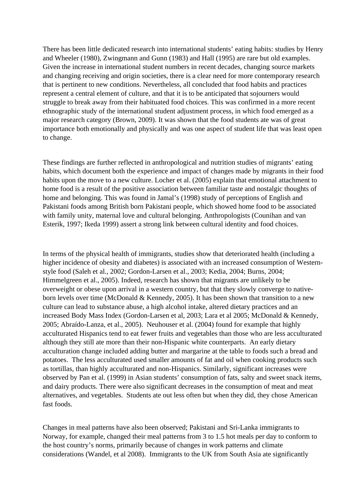There has been little dedicated research into international students' eating habits: studies by Henry and Wheeler (1980), Zwingmann and Gunn (1983) and Hall (1995) are rare but old examples. Given the increase in international student numbers in recent decades, changing source markets and changing receiving and origin societies, there is a clear need for more contemporary research that is pertinent to new conditions. Nevertheless, all concluded that food habits and practices represent a central element of culture, and that it is to be anticipated that sojourners would struggle to break away from their habituated food choices. This was confirmed in a more recent ethnographic study of the international student adjustment process, in which food emerged as a major research category (Brown, 2009). It was shown that the food students ate was of great importance both emotionally and physically and was one aspect of student life that was least open to change.

These findings are further reflected in anthropological and nutrition studies of migrants' eating habits, which document both the experience and impact of changes made by migrants in their food habits upon the move to a new culture. Locher et al. (2005) explain that emotional attachment to home food is a result of the positive association between familiar taste and nostalgic thoughts of home and belonging. This was found in Jamal's (1998) study of perceptions of English and Pakistani foods among British born Pakistani people, which showed home food to be associated with family unity, maternal love and cultural belonging. Anthropologists (Counihan and van Esterik, 1997; Ikeda 1999) assert a strong link between cultural identity and food choices.

In terms of the physical health of immigrants, studies show that deteriorated health (including a higher incidence of obesity and diabetes) is associated with an increased consumption of Westernstyle food (Saleh et al., 2002; Gordon-Larsen et al., 2003; Kedia, 2004; Burns, 2004; Himmelgreen et al., 2005). Indeed, research has shown that migrants are unlikely to be overweight or obese upon arrival in a western country, but that they slowly converge to nativeborn levels over time (McDonald & Kennedy, 2005). It has been shown that transition to a new culture can lead to substance abuse, a high alcohol intake, altered dietary practices and an increased Body Mass Index (Gordon-Larsen et al, 2003; Lara et al 2005; McDonald & Kennedy, 2005; Abraído-Lanza, et al., 2005). Neuhouser et al. (2004) found for example that highly acculturated Hispanics tend to eat fewer fruits and vegetables than those who are less acculturated although they still ate more than their non-Hispanic white counterparts. An early dietary acculturation change included adding butter and margarine at the table to foods such a bread and potatoes. The less acculturated used smaller amounts of fat and oil when cooking products such as tortillas, than highly acculturated and non-Hispanics. Similarly, significant increases were observed by Pan et al. (1999) in Asian students' consumption of fats, salty and sweet snack items, and dairy products. There were also significant decreases in the consumption of meat and meat alternatives, and vegetables. Students ate out less often but when they did, they chose American fast foods.

Changes in meal patterns have also been observed; Pakistani and Sri-Lanka immigrants to Norway, for example, changed their meal patterns from 3 to 1.5 hot meals per day to conform to the host country's norms, primarily because of changes in work patterns and climate considerations (Wandel, et al 2008). Immigrants to the UK from South Asia ate significantly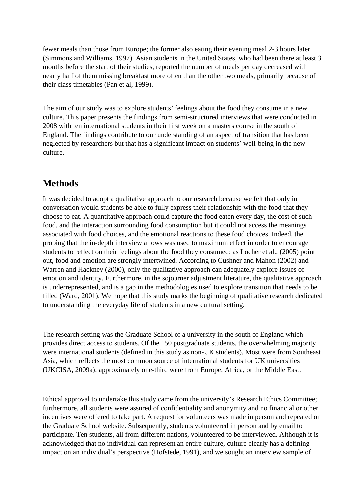fewer meals than those from Europe; the former also eating their evening meal 2-3 hours later (Simmons and Williams, 1997). Asian students in the United States, who had been there at least 3 months before the start of their studies, reported the number of meals per day decreased with nearly half of them missing breakfast more often than the other two meals, primarily because of their class timetables (Pan et al, 1999).

The aim of our study was to explore students' feelings about the food they consume in a new culture. This paper presents the findings from semi-structured interviews that were conducted in 2008 with ten international students in their first week on a masters course in the south of England. The findings contribute to our understanding of an aspect of transition that has been neglected by researchers but that has a significant impact on students' well-being in the new culture.

## **Methods**

It was decided to adopt a qualitative approach to our research because we felt that only in conversation would students be able to fully express their relationship with the food that they choose to eat. A quantitative approach could capture the food eaten every day, the cost of such food, and the interaction surrounding food consumption but it could not access the meanings associated with food choices, and the emotional reactions to these food choices. Indeed, the probing that the in-depth interview allows was used to maximum effect in order to encourage students to reflect on their feelings about the food they consumed: as Locher et al., (2005) point out, food and emotion are strongly intertwined. According to Cushner and Mahon (2002) and Warren and Hackney (2000), only the qualitative approach can adequately explore issues of emotion and identity. Furthermore, in the sojourner adjustment literature, the qualitative approach is underrepresented, and is a gap in the methodologies used to explore transition that needs to be filled (Ward, 2001). We hope that this study marks the beginning of qualitative research dedicated to understanding the everyday life of students in a new cultural setting.

The research setting was the Graduate School of a university in the south of England which provides direct access to students. Of the 150 postgraduate students, the overwhelming majority were international students (defined in this study as non-UK students). Most were from Southeast Asia, which reflects the most common source of international students for UK universities (UKCISA, 2009a); approximately one-third were from Europe, Africa, or the Middle East.

Ethical approval to undertake this study came from the university's Research Ethics Committee; furthermore, all students were assured of confidentiality and anonymity and no financial or other incentives were offered to take part. A request for volunteers was made in person and repeated on the Graduate School website. Subsequently, students volunteered in person and by email to participate. Ten students, all from different nations, volunteered to be interviewed. Although it is acknowledged that no individual can represent an entire culture, culture clearly has a defining impact on an individual's perspective (Hofstede, 1991), and we sought an interview sample of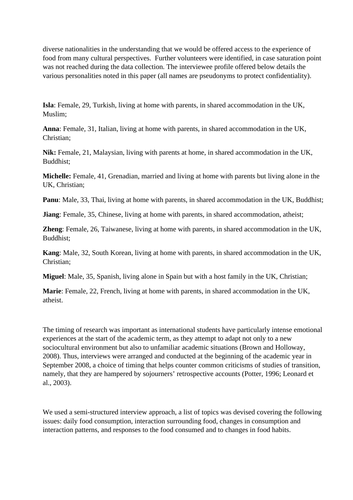diverse nationalities in the understanding that we would be offered access to the experience of food from many cultural perspectives. Further volunteers were identified, in case saturation point was not reached during the data collection. The interviewee profile offered below details the various personalities noted in this paper (all names are pseudonyms to protect confidentiality).

**Isla**: Female, 29, Turkish, living at home with parents, in shared accommodation in the UK, Muslim;

**Anna**: Female, 31, Italian, living at home with parents, in shared accommodation in the UK, Christian;

Nik: Female, 21, Malaysian, living with parents at home, in shared accommodation in the UK, Buddhist;

**Michelle:** Female, 41, Grenadian, married and living at home with parents but living alone in the UK, Christian;

**Panu**: Male, 33, Thai, living at home with parents, in shared accommodation in the UK, Buddhist;

**Jiang**: Female, 35, Chinese, living at home with parents, in shared accommodation, atheist;

**Zheng**: Female, 26, Taiwanese, living at home with parents, in shared accommodation in the UK, Buddhist;

**Kang**: Male, 32, South Korean, living at home with parents, in shared accommodation in the UK, Christian;

**Miguel**: Male, 35, Spanish, living alone in Spain but with a host family in the UK, Christian;

**Marie**: Female, 22, French, living at home with parents, in shared accommodation in the UK, atheist.

The timing of research was important as international students have particularly intense emotional experiences at the start of the academic term, as they attempt to adapt not only to a new sociocultural environment but also to unfamiliar academic situations (Brown and Holloway, 2008). Thus, interviews were arranged and conducted at the beginning of the academic year in September 2008, a choice of timing that helps counter common criticisms of studies of transition, namely, that they are hampered by sojourners' retrospective accounts (Potter, 1996; Leonard et al., 2003).

We used a semi-structured interview approach, a list of topics was devised covering the following issues: daily food consumption, interaction surrounding food, changes in consumption and interaction patterns, and responses to the food consumed and to changes in food habits.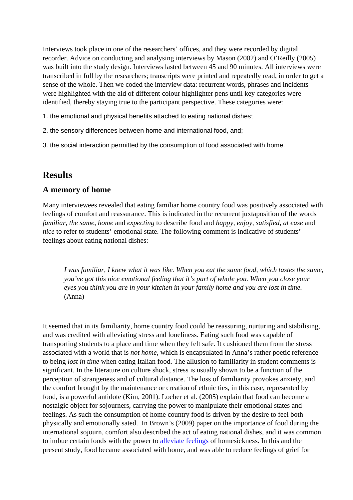Interviews took place in one of the researchers' offices, and they were recorded by digital recorder. Advice on conducting and analysing interviews by Mason (2002) and O'Reilly (2005) was built into the study design. Interviews lasted between 45 and 90 minutes. All interviews were transcribed in full by the researchers; transcripts were printed and repeatedly read, in order to get a sense of the whole. Then we coded the interview data: recurrent words, phrases and incidents were highlighted with the aid of different colour highlighter pens until key categories were identified, thereby staying true to the participant perspective. These categories were:

1. the emotional and physical benefits attached to eating national dishes;

2. the sensory differences between home and international food, and;

3. the social interaction permitted by the consumption of food associated with home.

# **Results**

### **A memory of home**

Many interviewees revealed that eating familiar home country food was positively associated with feelings of comfort and reassurance. This is indicated in the recurrent juxtaposition of the words *familiar*, *the same*, *home* and *expecting* to describe food and *happy, enjoy, satisfied, at ease* and *nice* to refer to students' emotional state. The following comment is indicative of students' feelings about eating national dishes:

*I was familiar, I knew what it was like. When you eat the same food, which tastes the same, you've got this nice emotional feeling that it's part of whole you. When you close your eyes you think you are in your kitchen in your family home and you are lost in time.* (Anna)

It seemed that in its familiarity, home country food could be reassuring, nurturing and stabilising, and was credited with alleviating stress and loneliness. Eating such food was capable of transporting students to a place and time when they felt safe. It cushioned them from the stress associated with a world that is *not home*, which is encapsulated in Anna's rather poetic reference to being *lost in time* when eating Italian food. The allusion to familiarity in student comments is significant. In the literature on culture shock, stress is usually shown to be a function of the perception of strangeness and of cultural distance. The loss of familiarity provokes anxiety, and the comfort brought by the maintenance or creation of ethnic ties, in this case, represented by food, is a powerful antidote (Kim, 2001). Locher et al. (2005) explain that food can become a nostalgic object for sojourners, carrying the power to manipulate their emotional states and feelings. As such the consumption of home country food is driven by the desire to feel both physically and emotionally sated. In Brown's (2009) paper on the importance of food during the international sojourn, comfort also described the act of eating national dishes, and it was common to imbue certain foods with the power to alleviate feelings of homesickness. In this and the present study, food became associated with home, and was able to reduce feelings of grief for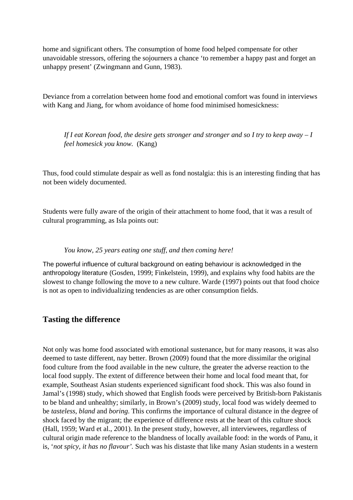home and significant others. The consumption of home food helped compensate for other unavoidable stressors, offering the sojourners a chance 'to remember a happy past and forget an unhappy present' (Zwingmann and Gunn, 1983).

Deviance from a correlation between home food and emotional comfort was found in interviews with Kang and Jiang, for whom avoidance of home food minimised homesickness:

*If I eat Korean food, the desire gets stronger and stronger and so I try to keep away – I feel homesick you know.* (Kang)

Thus, food could stimulate despair as well as fond nostalgia: this is an interesting finding that has not been widely documented.

Students were fully aware of the origin of their attachment to home food, that it was a result of cultural programming, as Isla points out:

#### *You know, 25 years eating one stuff, and then coming here!*

The powerful influence of cultural background on eating behaviour is acknowledged in the anthropology literature (Gosden, 1999; Finkelstein, 1999), and explains why food habits are the slowest to change following the move to a new culture. Warde (1997) points out that food choice is not as open to individualizing tendencies as are other consumption fields.

#### **Tasting the difference**

Not only was home food associated with emotional sustenance, but for many reasons, it was also deemed to taste different, nay better. Brown (2009) found that the more dissimilar the original food culture from the food available in the new culture, the greater the adverse reaction to the local food supply. The extent of difference between their home and local food meant that, for example, Southeast Asian students experienced significant food shock. This was also found in Jamal's (1998) study, which showed that English foods were perceived by British-born Pakistanis to be bland and unhealthy; similarly, in Brown's (2009) study, local food was widely deemed to be *tasteless*, *bland* and *boring*. This confirms the importance of cultural distance in the degree of shock faced by the migrant; the experience of difference rests at the heart of this culture shock (Hall, 1959; Ward et al., 2001). In the present study, however, all interviewees, regardless of cultural origin made reference to the blandness of locally available food: in the words of Panu, it is, '*not spicy, it has no flavour'.* Such was his distaste that like many Asian students in a western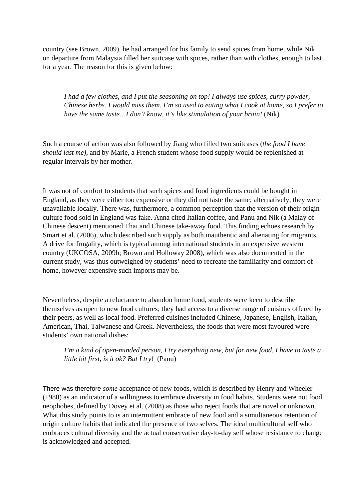country (see Brown, 2009), he had arranged for his family to send spices from home, while Nik on departure from Malaysia filled her suitcase with spices, rather than with clothes, enough to last for a year. The reason for this is given below:

*I had a few clothes, and I put the seasoning on top! I always use spices, curry powder, Chinese herbs. I would miss them. I'm so used to eating what I cook at home, so I prefer to have the same taste...I don't know, it's like stimulation of your brain!* (Nik)

Such a course of action was also followed by Jiang who filled two suitcases (*the food I have should last me)*, and by Marie, a French student whose food supply would be replenished at regular intervals by her mother.

It was not of comfort to students that such spices and food ingredients could be bought in England, as they were either too expensive or they did not taste the same; alternatively, they were unavailable locally. There was, furthermore, a common perception that the version of their origin culture food sold in England was fake. Anna cited Italian coffee, and Panu and Nik (a Malay of Chinese descent) mentioned Thai and Chinese take-away food. This finding echoes research by Smart et al. (2006), which described such supply as both inauthentic and alienating for migrants. A drive for frugality, which is typical among international students in an expensive western country (UKCOSA, 2009b; Brown and Holloway 2008), which was also documented in the current study, was thus outweighed by students' need to recreate the familiarity and comfort of home, however expensive such imports may be.

Nevertheless, despite a reluctance to abandon home food, students were keen to describe themselves as open to new food cultures; they had access to a diverse range of cuisines offered by their peers, as well as local food. Preferred cuisines included Chinese, Japanese, English, Italian, American, Thai, Taiwanese and Greek. Nevertheless, the foods that were most favoured were students' own national dishes:

*I'm a kind of open-minded person, I try everything new, but for new food, I have to taste a little bit first, is it ok? But I try!* (Panu)

There was therefore *some* acceptance of new foods, which is described by Henry and Wheeler (1980) as an indicator of a willingness to embrace diversity in food habits. Students were not food neophobes, defined by Dovey et al. (2008) as those who reject foods that are novel or unknown. What this study points to is an intermittent embrace of new food and a simultaneous retention of origin culture habits that indicated the presence of two selves. The ideal multicultural self who embraces cultural diversity and the actual conservative day-to-day self whose resistance to change is acknowledged and accepted.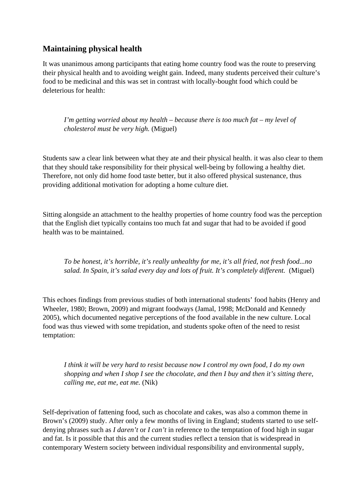### **Maintaining physical health**

It was unanimous among participants that eating home country food was the route to preserving their physical health and to avoiding weight gain. Indeed, many students perceived their culture's food to be medicinal and this was set in contrast with locally-bought food which could be deleterious for health:

*I'm getting worried about my health – because there is too much fat – my level of cholesterol must be very high.* (Miguel)

Students saw a clear link between what they ate and their physical health. it was also clear to them that they should take responsibility for their physical well-being by following a healthy diet. Therefore, not only did home food taste better, but it also offered physical sustenance, thus providing additional motivation for adopting a home culture diet.

Sitting alongside an attachment to the healthy properties of home country food was the perception that the English diet typically contains too much fat and sugar that had to be avoided if good health was to be maintained.

*To be honest, it's horrible, it's really unhealthy for me, it's all fried, not fresh food...no salad. In Spain, it's salad every day and lots of fruit. It's completely different.* (Miguel)

This echoes findings from previous studies of both international students' food habits (Henry and Wheeler, 1980; Brown, 2009) and migrant foodways (Jamal, 1998; McDonald and Kennedy 2005), which documented negative perceptions of the food available in the new culture. Local food was thus viewed with some trepidation, and students spoke often of the need to resist temptation:

*I think it will be very hard to resist because now I control my own food, I do my own shopping and when I shop I see the chocolate, and then I buy and then it's sitting there, calling me, eat me, eat me.* (Nik)

Self-deprivation of fattening food, such as chocolate and cakes, was also a common theme in Brown's (2009) study. After only a few months of living in England; students started to use selfdenying phrases such as *I daren't* or *I can't* in reference to the temptation of food high in sugar and fat. Is it possible that this and the current studies reflect a tension that is widespread in contemporary Western society between individual responsibility and environmental supply,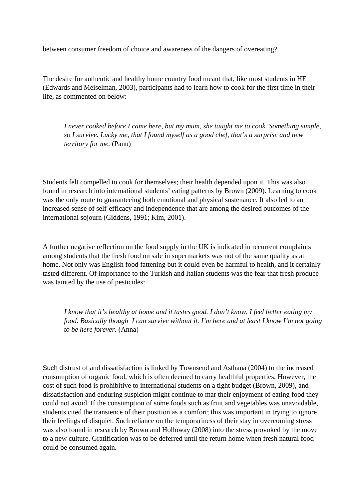between consumer freedom of choice and awareness of the dangers of overeating?

The desire for authentic and healthy home country food meant that, like most students in HE (Edwards and Meiselman, 2003), participants had to learn how to cook for the first time in their life, as commented on below:

*I never cooked before I came here, but my mum, she taught me to cook. Something simple, so I survive. Lucky me, that I found myself as a good chef, that's a surprise and new territory for me.* (Panu)

Students felt compelled to cook for themselves; their health depended upon it. This was also found in research into international students' eating patterns by Brown (2009). Learning to cook was the only route to guaranteeing both emotional and physical sustenance. It also led to an increased sense of self-efficacy and independence that are among the desired outcomes of the international sojourn (Giddens, 1991; Kim, 2001).

A further negative reflection on the food supply in the UK is indicated in recurrent complaints among students that the fresh food on sale in supermarkets was not of the same quality as at home. Not only was English food fattening but it could even be harmful to health, and it certainly tasted different. Of importance to the Turkish and Italian students was the fear that fresh produce was tainted by the use of pesticides:

*I know that it's healthy at home and it tastes good. I don't know, I feel better eating my food. Basically though I can survive without it. I'm here and at least I know I'm not going to be here forever.* (Anna)

Such distrust of and dissatisfaction is linked by Townsend and Asthana (2004) to the increased consumption of organic food, which is often deemed to carry healthful properties. However, the cost of such food is prohibitive to international students on a tight budget (Brown, 2009), and dissatisfaction and enduring suspicion might continue to mar their enjoyment of eating food they could not avoid. If the consumption of some foods such as fruit and vegetables was unavoidable, students cited the transience of their position as a comfort; this was important in trying to ignore their feelings of disquiet. Such reliance on the temporariness of their stay in overcoming stress was also found in research by Brown and Holloway (2008) into the stress provoked by the move to a new culture. Gratification was to be deferred until the return home when fresh natural food could be consumed again.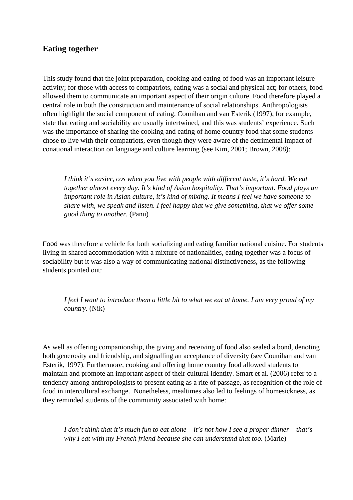#### **Eating together**

This study found that the joint preparation, cooking and eating of food was an important leisure activity; for those with access to compatriots, eating was a social and physical act; for others, food allowed them to communicate an important aspect of their origin culture. Food therefore played a central role in both the construction and maintenance of social relationships. Anthropologists often highlight the social component of eating. Counihan and van Esterik (1997), for example, state that eating and sociability are usually intertwined, and this was students' experience. Such was the importance of sharing the cooking and eating of home country food that some students chose to live with their compatriots, even though they were aware of the detrimental impact of conational interaction on language and culture learning (see Kim, 2001; Brown, 2008):

*I think it's easier, cos when you live with people with different taste, it's hard. We eat together almost every day. It's kind of Asian hospitality. That's important. Food plays an important role in Asian culture, it's kind of mixing. It means I feel we have someone to share with, we speak and listen. I feel happy that we give something, that we offer some good thing to another.* (Panu)

Food was therefore a vehicle for both socializing and eating familiar national cuisine. For students living in shared accommodation with a mixture of nationalities, eating together was a focus of sociability but it was also a way of communicating national distinctiveness, as the following students pointed out:

*I feel I want to introduce them a little bit to what we eat at home. I am very proud of my country.* (Nik)

As well as offering companionship, the giving and receiving of food also sealed a bond, denoting both generosity and friendship, and signalling an acceptance of diversity (see Counihan and van Esterik, 1997). Furthermore, cooking and offering home country food allowed students to maintain and promote an important aspect of their cultural identity. Smart et al. (2006) refer to a tendency among anthropologists to present eating as a rite of passage, as recognition of the role of food in intercultural exchange. Nonetheless, mealtimes also led to feelings of homesickness, as they reminded students of the community associated with home:

*I don't think that it's much fun to eat alone – it's not how I see a proper dinner – that's why I eat with my French friend because she can understand that too.* (Marie)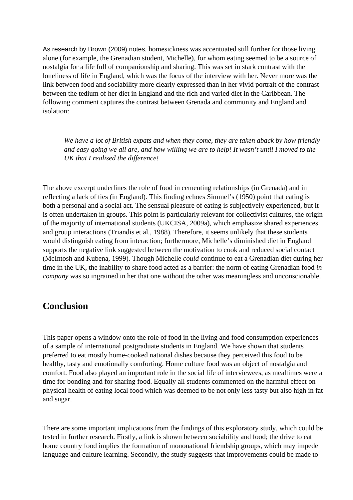As research by Brown (2009) notes, homesickness was accentuated still further for those living alone (for example, the Grenadian student, Michelle), for whom eating seemed to be a source of nostalgia for a life full of companionship and sharing. This was set in stark contrast with the loneliness of life in England, which was the focus of the interview with her. Never more was the link between food and sociability more clearly expressed than in her vivid portrait of the contrast between the tedium of her diet in England and the rich and varied diet in the Caribbean. The following comment captures the contrast between Grenada and community and England and isolation:

*We have a lot of British expats and when they come, they are taken aback by how friendly and easy going we all are, and how willing we are to help! It wasn't until I moved to the UK that I realised the difference!*

The above excerpt underlines the role of food in cementing relationships (in Grenada) and in reflecting a lack of ties (in England). This finding echoes Simmel's (1950) point that eating is both a personal and a social act. The sensual pleasure of eating is subjectively experienced, but it is often undertaken in groups. This point is particularly relevant for collectivist cultures, the origin of the majority of international students (UKCISA, 2009a), which emphasize shared experiences and group interactions (Triandis et al., 1988). Therefore, it seems unlikely that these students would distinguish eating from interaction; furthermore, Michelle's diminished diet in England supports the negative link suggested between the motivation to cook and reduced social contact (McIntosh and Kubena, 1999). Though Michelle *could* continue to eat a Grenadian diet during her time in the UK, the inability to share food acted as a barrier: the norm of eating Grenadian food *in company* was so ingrained in her that one without the other was meaningless and unconscionable.

### **Conclusion**

This paper opens a window onto the role of food in the living and food consumption experiences of a sample of international postgraduate students in England. We have shown that students preferred to eat mostly home-cooked national dishes because they perceived this food to be healthy, tasty and emotionally comforting. Home culture food was an object of nostalgia and comfort. Food also played an important role in the social life of interviewees, as mealtimes were a time for bonding and for sharing food. Equally all students commented on the harmful effect on physical health of eating local food which was deemed to be not only less tasty but also high in fat and sugar.

There are some important implications from the findings of this exploratory study, which could be tested in further research. Firstly, a link is shown between sociability and food; the drive to eat home country food implies the formation of mononational friendship groups, which may impede language and culture learning. Secondly, the study suggests that improvements could be made to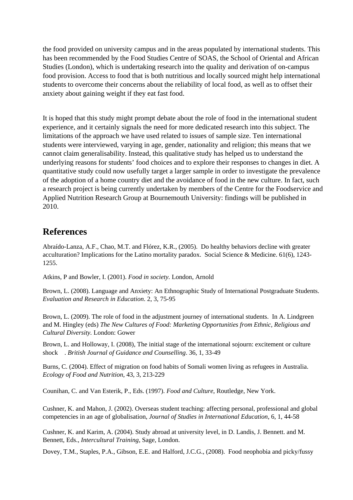the food provided on university campus and in the areas populated by international students. This has been recommended by the Food Studies Centre of SOAS, the School of Oriental and African Studies (London), which is undertaking research into the quality and derivation of on-campus food provision. Access to food that is both nutritious and locally sourced might help international students to overcome their concerns about the reliability of local food, as well as to offset their anxiety about gaining weight if they eat fast food.

It is hoped that this study might prompt debate about the role of food in the international student experience, and it certainly signals the need for more dedicated research into this subject. The limitations of the approach we have used related to issues of sample size. Ten international students were interviewed, varying in age, gender, nationality and religion; this means that we cannot claim generalisability. Instead, this qualitative study has helped us to understand the underlying reasons for students' food choices and to explore their responses to changes in diet. A quantitative study could now usefully target a larger sample in order to investigate the prevalence of the adoption of a home country diet and the avoidance of food in the new culture. In fact, such a research project is being currently undertaken by members of the Centre for the Foodservice and Applied Nutrition Research Group at Bournemouth University: findings will be published in 2010.

## **References**

Abraído-Lanza, A.F., Chao, M.T. and Flórez, K.R., (2005). Do healthy behaviors decline with greater acculturation? Implications for the Latino mortality paradox. Social Science & Medicine. 61(6), 1243- 1255.

Atkins, P and Bowler, I. (2001). *Food in society.* London, Arnold

Brown, L. (2008). Language and Anxiety: An Ethnographic Study of International Postgraduate Students. *Evaluation and Research in Education*. 2, 3, 75-95

Brown, L. (2009). The role of food in the adjustment journey of international students. In A. Lindgreen and M. Hingley (eds) *The New Cultures of Food: Marketing Opportunities from Ethnic, Religious and Cultural Diversity.* London: Gower

Brown, L. and Holloway, I. (2008), The initial stage of the international sojourn: excitement or culture shock . *British Journal of Guidance and Counselling*. 36, 1, 33-49

Burns, C. (2004). Effect of migration on food habits of Somali women living as refugees in Australia. *Ecology of Food and Nutrition*, 43, 3, 213-229

Counihan, C. and Van Esterik, P., Eds. (1997). *Food and Culture*, Routledge, New York.

Cushner, K. and Mahon, J. (2002). Overseas student teaching: affecting personal, professional and global competencies in an age of globalisation, *Journal of Studies in International Education*, 6, 1, 44-58

Cushner, K. and Karim, A. (2004). Study abroad at university level, in D. Landis, J. Bennett. and M. Bennett, Eds., *Intercultural Training*, Sage, London.

Dovey, T.M., Staples, P.A., Gibson, E.E. and Halford, J.C.G., (2008). Food neophobia and picky/fussy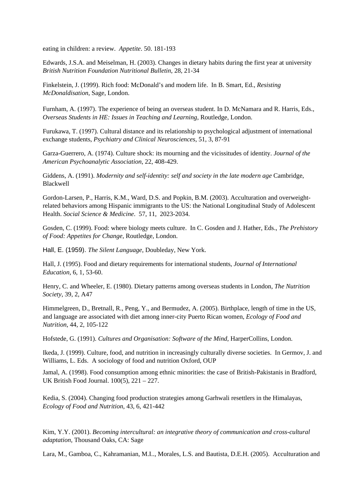eating in children: a review. *Appetite*. 50. 181-193

Edwards, J.S.A. and Meiselman, H. (2003). Changes in dietary habits during the first year at university *British Nutrition Foundation Nutritional Bulletin*, 28, 21-34

Finkelstein, J. (1999). Rich food: McDonald's and modern life. In B. Smart, Ed., *Resisting McDonaldisation*, Sage, London.

Furnham, A. (1997). The experience of being an overseas student. In D. McNamara and R. Harris, Eds., *Overseas Students in HE: Issues in Teaching and Learning*, Routledge, London.

Furukawa, T. (1997). Cultural distance and its relationship to psychological adjustment of international exchange students, *Psychiatry and Clinical Neurosciences*, 51, 3, 87-91

Garza-Guerrero, A. (1974). Culture shock: its mourning and the vicissitudes of identity. *Journal of the American Psychoanalytic Association*, 22, 408-429.

Giddens, A. (1991). *Modernity and self-identity: self and society in the late modern age* Cambridge, Blackwell

Gordon-Larsen, P., Harris, K.M., Ward, D.S. and Popkin, B.M. (2003). Acculturation and overweightrelated behaviors among Hispanic immigrants to the US: the National Longitudinal Study of Adolescent Health. *Social Science & Medicine*. 57, 11, 2023-2034.

Gosden, C. (1999). Food: where biology meets culture. In C. Gosden and J. Hather, Eds., *The Prehistory of Food: Appetites for Change*, Routledge, London.

Hall, E. (1959). *The Silent Language*, Doubleday, New York.

Hall, J. (1995). Food and dietary requirements for international students, *Journal of International Education*, 6, 1, 53-60.

Henry, C. and Wheeler, E. (1980). Dietary patterns among overseas students in London, *The Nutrition Society*, 39, 2, A47

Himmelgreen, D., Bretnall, R., Peng, Y., and Bermudez, A. (2005). Birthplace, length of time in the US, and language are associated with diet among inner-city Puerto Rican women, *Ecology of Food and Nutrition*, 44, 2, 105-122

Hofstede, G. (1991). *Cultures and Organisation: Software of the Mind*, HarperCollins, London.

Ikeda, J. (1999). Culture, food, and nutrition in increasingly culturally diverse societies. In Germov, J. and Williams, L. Eds. A sociology of food and nutrition Oxford, OUP

Jamal, A. (1998). Food consumption among ethnic minorities: the case of British-Pakistanis in Bradford, UK British Food Journal. 100(5), 221 – 227.

Kedia, S. (2004). Changing food production strategies among Garhwali resettlers in the Himalayas, *Ecology of Food and Nutrition*, 43, 6, 421-442

Kim, Y.Y. (2001). *Becoming intercultural: an integrative theory of communication and cross-cultural adaptation,* Thousand Oaks, CA: Sage

Lara, M., Gamboa, C., Kahramanian, M.I.., Morales, L.S. and Bautista, D.E.H. (2005). Acculturation and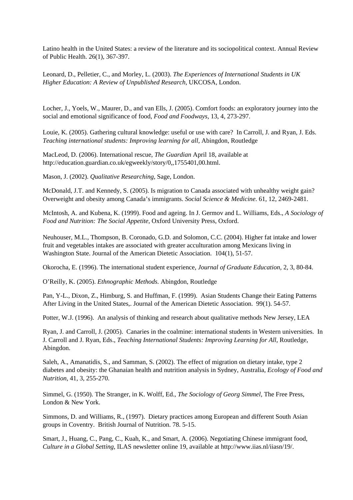Latino health in the United States: a review of the literature and its sociopolitical context. Annual Review of Public Health. 26(1), 367-397.

Leonard, D., Pelletier, C., and Morley, L. (2003). *The Experiences of International Students in UK Higher Education: A Review of Unpublished Research*, UKCOSA, London.

Locher, J., Yoels, W., Maurer, D., and van Ells, J. (2005). Comfort foods: an exploratory journey into the social and emotional significance of food, *Food and Foodways*, 13, 4, 273-297.

Louie, K. (2005). Gathering cultural knowledge: useful or use with care? In Carroll, J. and Ryan, J. Eds. *Teaching international students: Improving learning for all,* Abingdon, Routledge

MacLeod, D. (2006). International rescue, *The Guardian* April 18, available at http://education.guardian.co.uk/egweekly/story/0,,1755401,00.html.

Mason, J. (2002). *Qualitative Researching*, Sage, London.

McDonald, J.T. and Kennedy, S. (2005). Is migration to Canada associated with unhealthy weight gain? Overweight and obesity among Canada's immigrants. *Social Science & Medicine*. 61, 12, 2469-2481.

McIntosh, A. and Kubena, K. (1999). Food and ageing. In J. Germov and L. Williams, Eds., *A Sociology of Food and Nutrition: The Social Appetite*, Oxford University Press, Oxford.

Neuhouser, M.L., Thompson, B. Coronado, G.D. and Solomon, C.C. (2004). Higher fat intake and lower fruit and vegetables intakes are associated with greater acculturation among Mexicans living in Washington State. Journal of the American Dietetic Association. 104(1), 51-57.

Okorocha, E. (1996). The international student experience, *Journal of Graduate Education,* 2, 3, 80-84.

O'Reilly, K. (2005). *Ethnographic Methods.* Abingdon, Routledge

Pan, Y-L., Dixon, Z., Himburg, S. and Huffman, F. (1999). Asian Students Change their Eating Patterns After Living in the United States,. Journal of the American Dietetic Association. 99(1). 54-57.

Potter, W.J. (1996). An analysis of thinking and research about qualitative methods New Jersey, LEA

Ryan, J. and Carroll, J. (2005). Canaries in the coalmine: international students in Western universities. In J. Carroll and J. Ryan, Eds., *Teaching International Students: Improving Learning for All*, Routledge, Abingdon.

Saleh, A., Amanatidis, S., and Samman, S. (2002). The effect of migration on dietary intake, type 2 diabetes and obesity: the Ghanaian health and nutrition analysis in Sydney, Australia, *Ecology of Food and Nutrition*, 41, 3, 255-270.

Simmel, G. (1950). The Stranger, in K. Wolff, Ed., *The Sociology of Georg Simmel*, The Free Press, London & New York.

Simmons, D. and Williams, R., (1997). Dietary practices among European and different South Asian groups in Coventry. British Journal of Nutrition. 78. 5-15.

Smart, J., Huang, C., Pang, C., Kuah, K., and Smart, A. (2006). Negotiating Chinese immigrant food, *Culture in a Global Setting*, ILAS newsletter online 19, available at http://www.iias.nl/iiasn/19/.